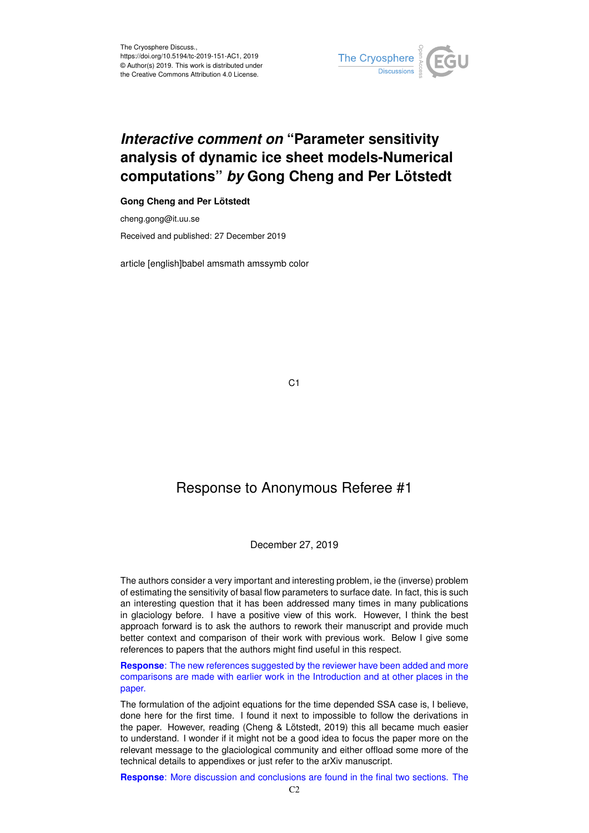

# *Interactive comment on* **"Parameter sensitivity analysis of dynamic ice sheet models-Numerical computations"** *by* **Gong Cheng and Per Lötstedt**

## **Gong Cheng and Per Lötstedt**

cheng.gong@it.uu.se Received and published: 27 December 2019

article [english]babel amsmath amssymb color

C1

# Response to Anonymous Referee #1

### December 27, 2019

The authors consider a very important and interesting problem, ie the (inverse) problem of estimating the sensitivity of basal flow parameters to surface date. In fact, this is such an interesting question that it has been addressed many times in many publications in glaciology before. I have a positive view of this work. However, I think the best approach forward is to ask the authors to rework their manuscript and provide much better context and comparison of their work with previous work. Below I give some references to papers that the authors might find useful in this respect.

**Response**: The new references suggested by the reviewer have been added and more comparisons are made with earlier work in the Introduction and at other places in the paper.

The formulation of the adjoint equations for the time depended SSA case is, I believe, done here for the first time. I found it next to impossible to follow the derivations in the paper. However, reading (Cheng & Lötstedt, 2019) this all became much easier to understand. I wonder if it might not be a good idea to focus the paper more on the relevant message to the glaciological community and either offload some more of the technical details to appendixes or just refer to the arXiv manuscript.

**Response**: More discussion and conclusions are found in the final two sections. The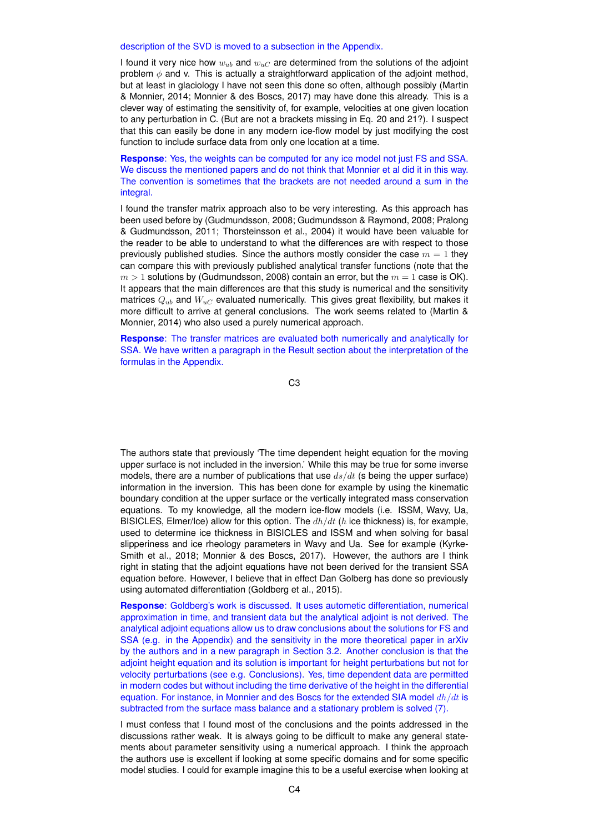#### description of the SVD is moved to a subsection in the Appendix.

I found it very nice how  $w_{ub}$  and  $w_{uc}$  are determined from the solutions of the adjoint problem  $\phi$  and v. This is actually a straightforward application of the adjoint method, but at least in glaciology I have not seen this done so often, although possibly (Martin & Monnier, 2014; Monnier & des Boscs, 2017) may have done this already. This is a clever way of estimating the sensitivity of, for example, velocities at one given location to any perturbation in C. (But are not a brackets missing in Eq. 20 and 21?). I suspect that this can easily be done in any modern ice-flow model by just modifying the cost function to include surface data from only one location at a time.

**Response**: Yes, the weights can be computed for any ice model not just FS and SSA. We discuss the mentioned papers and do not think that Monnier et al did it in this way. The convention is sometimes that the brackets are not needed around a sum in the integral.

I found the transfer matrix approach also to be very interesting. As this approach has been used before by (Gudmundsson, 2008; Gudmundsson & Raymond, 2008; Pralong & Gudmundsson, 2011; Thorsteinsson et al., 2004) it would have been valuable for the reader to be able to understand to what the differences are with respect to those previously published studies. Since the authors mostly consider the case  $m = 1$  they can compare this with previously published analytical transfer functions (note that the  $m > 1$  solutions by (Gudmundsson, 2008) contain an error, but the  $m = 1$  case is OK). It appears that the main differences are that this study is numerical and the sensitivity matrices  $Q_{ub}$  and  $W_{uc}$  evaluated numerically. This gives great flexibility, but makes it more difficult to arrive at general conclusions. The work seems related to (Martin & Monnier, 2014) who also used a purely numerical approach.

**Response**: The transfer matrices are evaluated both numerically and analytically for SSA. We have written a paragraph in the Result section about the interpretation of the formulas in the Appendix.

C3

The authors state that previously 'The time dependent height equation for the moving upper surface is not included in the inversion.' While this may be true for some inverse models, there are a number of publications that use  $ds/dt$  (s being the upper surface) information in the inversion. This has been done for example by using the kinematic boundary condition at the upper surface or the vertically integrated mass conservation equations. To my knowledge, all the modern ice-flow models (i.e. ISSM, Wavy, Ua, BISICLES, Elmer/Ice) allow for this option. The  $dh/dt$  (h ice thickness) is, for example, used to determine ice thickness in BISICLES and ISSM and when solving for basal slipperiness and ice rheology parameters in Wavy and Ua. See for example (Kyrke-Smith et al., 2018; Monnier & des Boscs, 2017). However, the authors are I think right in stating that the adjoint equations have not been derived for the transient SSA equation before. However, I believe that in effect Dan Golberg has done so previously using automated differentiation (Goldberg et al., 2015).

**Response**: Goldberg's work is discussed. It uses autometic differentiation, numerical approximation in time, and transient data but the analytical adjoint is not derived. The analytical adjoint equations allow us to draw conclusions about the solutions for FS and SSA (e.g. in the Appendix) and the sensitivity in the more theoretical paper in arXiv by the authors and in a new paragraph in Section 3.2. Another conclusion is that the adjoint height equation and its solution is important for height perturbations but not for velocity perturbations (see e.g. Conclusions). Yes, time dependent data are permitted in modern codes but without including the time derivative of the height in the differential equation. For instance, in Monnier and des Boscs for the extended SIA model  $dh/dt$  is subtracted from the surface mass balance and a stationary problem is solved (7).

I must confess that I found most of the conclusions and the points addressed in the discussions rather weak. It is always going to be difficult to make any general statements about parameter sensitivity using a numerical approach. I think the approach the authors use is excellent if looking at some specific domains and for some specific model studies. I could for example imagine this to be a useful exercise when looking at